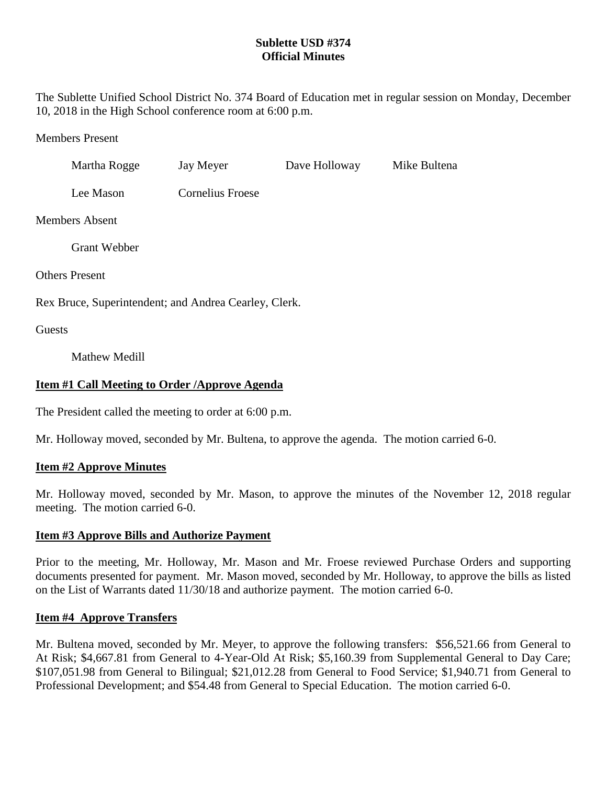# **Sublette USD #374 Official Minutes**

The Sublette Unified School District No. 374 Board of Education met in regular session on Monday, December 10, 2018 in the High School conference room at 6:00 p.m.

Members Present

|                                                       | Martha Rogge         | Jay Meyer               | Dave Holloway | Mike Bultena |
|-------------------------------------------------------|----------------------|-------------------------|---------------|--------------|
|                                                       | Lee Mason            | <b>Cornelius Froese</b> |               |              |
| <b>Members Absent</b>                                 |                      |                         |               |              |
|                                                       | <b>Grant Webber</b>  |                         |               |              |
| <b>Others Present</b>                                 |                      |                         |               |              |
| Rex Bruce, Superintendent; and Andrea Cearley, Clerk. |                      |                         |               |              |
| Guests                                                |                      |                         |               |              |
|                                                       | <b>Mathew Medill</b> |                         |               |              |

## **Item #1 Call Meeting to Order /Approve Agenda**

The President called the meeting to order at 6:00 p.m.

Mr. Holloway moved, seconded by Mr. Bultena, to approve the agenda. The motion carried 6-0.

## **Item #2 Approve Minutes**

Mr. Holloway moved, seconded by Mr. Mason, to approve the minutes of the November 12, 2018 regular meeting. The motion carried 6-0.

## **Item #3 Approve Bills and Authorize Payment**

Prior to the meeting, Mr. Holloway, Mr. Mason and Mr. Froese reviewed Purchase Orders and supporting documents presented for payment. Mr. Mason moved, seconded by Mr. Holloway, to approve the bills as listed on the List of Warrants dated 11/30/18 and authorize payment. The motion carried 6-0.

## **Item #4 Approve Transfers**

Mr. Bultena moved, seconded by Mr. Meyer, to approve the following transfers: \$56,521.66 from General to At Risk; \$4,667.81 from General to 4-Year-Old At Risk; \$5,160.39 from Supplemental General to Day Care; \$107,051.98 from General to Bilingual; \$21,012.28 from General to Food Service; \$1,940.71 from General to Professional Development; and \$54.48 from General to Special Education. The motion carried 6-0.